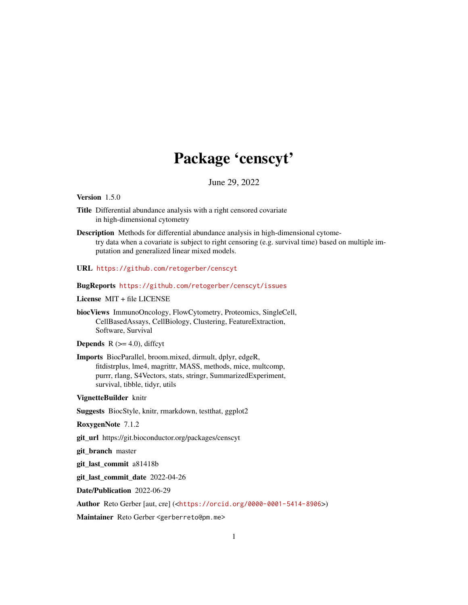# Package 'censcyt'

June 29, 2022

<span id="page-0-0"></span>Version 1.5.0

- Title Differential abundance analysis with a right censored covariate in high-dimensional cytometry
- Description Methods for differential abundance analysis in high-dimensional cytometry data when a covariate is subject to right censoring (e.g. survival time) based on multiple imputation and generalized linear mixed models.
- URL <https://github.com/retogerber/censcyt>

BugReports <https://github.com/retogerber/censcyt/issues>

License MIT + file LICENSE

biocViews ImmunoOncology, FlowCytometry, Proteomics, SingleCell, CellBasedAssays, CellBiology, Clustering, FeatureExtraction, Software, Survival

**Depends** R  $(>= 4.0)$ , diffcyt

Imports BiocParallel, broom.mixed, dirmult, dplyr, edgeR, fitdistrplus, lme4, magrittr, MASS, methods, mice, multcomp, purrr, rlang, S4Vectors, stats, stringr, SummarizedExperiment, survival, tibble, tidyr, utils

VignetteBuilder knitr

Suggests BiocStyle, knitr, rmarkdown, testthat, ggplot2

RoxygenNote 7.1.2

git\_url https://git.bioconductor.org/packages/censcyt

git\_branch master

git\_last\_commit a81418b

git\_last\_commit\_date 2022-04-26

Date/Publication 2022-06-29

Author Reto Gerber [aut, cre] (<<https://orcid.org/0000-0001-5414-8906>>)

Maintainer Reto Gerber <gerberreto@pm.me>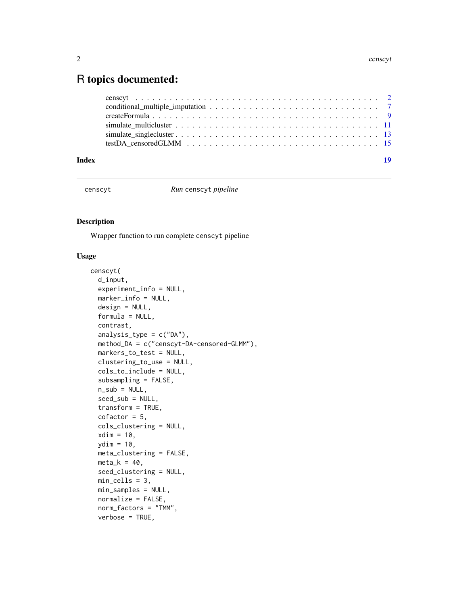# <span id="page-1-0"></span>R topics documented:

| Index | 19 |
|-------|----|
|       |    |
|       |    |
|       |    |
|       |    |
|       |    |
|       |    |

censcyt *Run* censcyt *pipeline*

# Description

Wrapper function to run complete censcyt pipeline

# Usage

```
censcyt(
  d_input,
  experiment_info = NULL,
  marker_info = NULL,
  design = NULL,
  formula = NULL,contrast,
  analysis_type = c("DA"),
 method_DA = c("censcyt-DA-censored-GLMM"),
  markers_to_test = NULL,
  clustering_to_use = NULL,
  cols_to_include = NULL,
  subsampling = FALSE,
  n\_sub = NULL,seed_sub = NULL,
  transform = TRUE,
  cofactor = 5,
  cols_clustering = NULL,
  xdim = 10,
  ydim = 10,
  meta_clustering = FALSE,
 meta_k = 40,
  seed_clustering = NULL,
 min_cells = 3,
 min_samples = NULL,
  normalize = FALSE,
  norm_factors = "TMM",
  verbose = TRUE,
```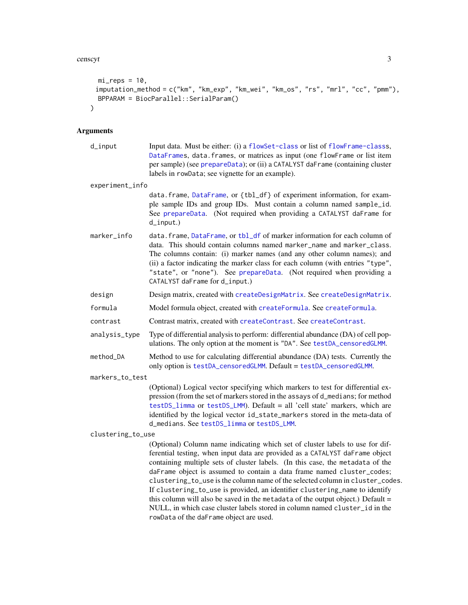#### <span id="page-2-0"></span>censcyt 3

```
mi_{reps} = 10,
imputation_method = c("km", "km_exp", "km_wei", "km_os", "rs", "mrl", "cc", "pmm"),
 BPPARAM = BiocParallel::SerialParam()
\sum_{i=1}^{n}
```

| $d$ _input        | Input data. Must be either: (i) a flowSet-class or list of flowFrame-classs,<br>DataFrames, data.frames, or matrices as input (one flowFrame or list item<br>per sample) (see prepareData); or (ii) a CATALYST daFrame (containing cluster<br>labels in rowData; see vignette for an example).                                                                                                                                                                                                                                                                                                                                                                                                         |  |  |
|-------------------|--------------------------------------------------------------------------------------------------------------------------------------------------------------------------------------------------------------------------------------------------------------------------------------------------------------------------------------------------------------------------------------------------------------------------------------------------------------------------------------------------------------------------------------------------------------------------------------------------------------------------------------------------------------------------------------------------------|--|--|
| experiment_info   |                                                                                                                                                                                                                                                                                                                                                                                                                                                                                                                                                                                                                                                                                                        |  |  |
|                   | data.frame, DataFrame, or {tbl_df} of experiment information, for exam-<br>ple sample IDs and group IDs. Must contain a column named sample_id.<br>See prepareData. (Not required when providing a CATALYST daFrame for<br>$d$ _input.)                                                                                                                                                                                                                                                                                                                                                                                                                                                                |  |  |
| marker_info       | data.frame, DataFrame, or tbl_df of marker information for each column of<br>data. This should contain columns named marker_name and marker_class.<br>The columns contain: (i) marker names (and any other column names); and<br>(ii) a factor indicating the marker class for each column (with entries "type",<br>"state", or "none"). See prepareData. (Not required when providing a<br>CATALYST daFrame for d_input.)                                                                                                                                                                                                                                                                             |  |  |
| design            | Design matrix, created with createDesignMatrix. See createDesignMatrix.                                                                                                                                                                                                                                                                                                                                                                                                                                                                                                                                                                                                                                |  |  |
| formula           | Model formula object, created with createFormula. See createFormula.                                                                                                                                                                                                                                                                                                                                                                                                                                                                                                                                                                                                                                   |  |  |
| contrast          | Contrast matrix, created with createContrast. See createContrast.                                                                                                                                                                                                                                                                                                                                                                                                                                                                                                                                                                                                                                      |  |  |
| analysis_type     | Type of differential analysis to perform: differential abundance (DA) of cell pop-<br>ulations. The only option at the moment is "DA". See testDA_censoredGLMM.                                                                                                                                                                                                                                                                                                                                                                                                                                                                                                                                        |  |  |
| method_DA         | Method to use for calculating differential abundance (DA) tests. Currently the<br>only option is testDA_censoredGLMM. Default = testDA_censoredGLMM.                                                                                                                                                                                                                                                                                                                                                                                                                                                                                                                                                   |  |  |
| markers_to_test   |                                                                                                                                                                                                                                                                                                                                                                                                                                                                                                                                                                                                                                                                                                        |  |  |
|                   | (Optional) Logical vector specifying which markers to test for differential ex-<br>pression (from the set of markers stored in the assays of d_medians; for method<br>testDS_limma or testDS_LMM). Default = all 'cell state' markers, which are<br>identified by the logical vector id_state_markers stored in the meta-data of<br>d_medians. See testDS_limma or testDS_LMM.                                                                                                                                                                                                                                                                                                                         |  |  |
| clustering_to_use |                                                                                                                                                                                                                                                                                                                                                                                                                                                                                                                                                                                                                                                                                                        |  |  |
|                   | (Optional) Column name indicating which set of cluster labels to use for dif-<br>ferential testing, when input data are provided as a CATALYST daFrame object<br>containing multiple sets of cluster labels. (In this case, the metadata of the<br>daFrame object is assumed to contain a data frame named cluster_codes;<br>clustering_to_use is the column name of the selected column in cluster_codes.<br>If clustering_to_use is provided, an identifier clustering_name to identify<br>this column will also be saved in the metadata of the output object.) Default =<br>NULL, in which case cluster labels stored in column named cluster_id in the<br>rowData of the daFrame object are used. |  |  |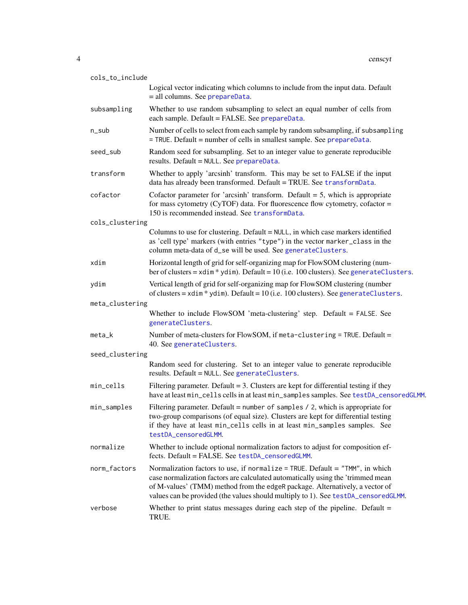<span id="page-3-0"></span>

| cols_to_include |                                                                                                                                                                                                                                                                                                                                       |  |
|-----------------|---------------------------------------------------------------------------------------------------------------------------------------------------------------------------------------------------------------------------------------------------------------------------------------------------------------------------------------|--|
|                 | Logical vector indicating which columns to include from the input data. Default<br>= all columns. See prepareData.                                                                                                                                                                                                                    |  |
| subsampling     | Whether to use random subsampling to select an equal number of cells from<br>each sample. Default = FALSE. See prepareData.                                                                                                                                                                                                           |  |
| n_sub           | Number of cells to select from each sample by random subsampling, if subsampling<br>= TRUE. Default = number of cells in smallest sample. See prepareData.                                                                                                                                                                            |  |
| seed_sub        | Random seed for subsampling. Set to an integer value to generate reproducible<br>results. Default = NULL. See prepareData.                                                                                                                                                                                                            |  |
| transform       | Whether to apply 'arcsinh' transform. This may be set to FALSE if the input<br>data has already been transformed. Default = TRUE. See transformData.                                                                                                                                                                                  |  |
| cofactor        | Cofactor parameter for 'arcsinh' transform. Default $= 5$ , which is appropriate<br>for mass cytometry (CyTOF) data. For fluorescence flow cytometry, cofactor $=$<br>150 is recommended instead. See transformData.                                                                                                                  |  |
| cols_clustering |                                                                                                                                                                                                                                                                                                                                       |  |
|                 | Columns to use for clustering. Default = NULL, in which case markers identified<br>as 'cell type' markers (with entries "type") in the vector marker_class in the<br>column meta-data of d_se will be used. See generateClusters.                                                                                                     |  |
| xdim            | Horizontal length of grid for self-organizing map for FlowSOM clustering (num-<br>ber of clusters = $xdim * ydim$ . Default = 10 (i.e. 100 clusters). See generateClusters.                                                                                                                                                           |  |
| ydim            | Vertical length of grid for self-organizing map for FlowSOM clustering (number<br>of clusters = $xdim$ * $ydim$ ). Default = 10 (i.e. 100 clusters). See generateClusters.                                                                                                                                                            |  |
| meta_clustering |                                                                                                                                                                                                                                                                                                                                       |  |
|                 | Whether to include FlowSOM 'meta-clustering' step. Default = FALSE. See<br>generateClusters.                                                                                                                                                                                                                                          |  |
| meta_k          | Number of meta-clusters for FlowSOM, if meta-clustering = TRUE. Default =<br>40. See generateClusters.                                                                                                                                                                                                                                |  |
| seed_clustering |                                                                                                                                                                                                                                                                                                                                       |  |
|                 | Random seed for clustering. Set to an integer value to generate reproducible<br>results. Default = NULL. See generateClusters.                                                                                                                                                                                                        |  |
| min_cells       | Filtering parameter. Default = 3. Clusters are kept for differential testing if they<br>have at least min_cells cells in at least min_samples samples. See testDA_censoredGLMM.                                                                                                                                                       |  |
| min_samples     | Filtering parameter. Default = number of samples $/$ 2, which is appropriate for<br>two-group comparisons (of equal size). Clusters are kept for differential testing<br>if they have at least min_cells cells in at least min_samples samples. See<br>testDA_censoredGLMM.                                                           |  |
| normalize       | Whether to include optional normalization factors to adjust for composition ef-<br>fects. Default = FALSE. See testDA_censoredGLMM.                                                                                                                                                                                                   |  |
| norm_factors    | Normalization factors to use, if normalize = TRUE. Default = "TMM", in which<br>case normalization factors are calculated automatically using the 'trimmed mean<br>of M-values' (TMM) method from the edgeR package. Alternatively, a vector of<br>values can be provided (the values should multiply to 1). See testDA_censoredGLMM. |  |
| verbose         | Whether to print status messages during each step of the pipeline. Default $=$<br>TRUE.                                                                                                                                                                                                                                               |  |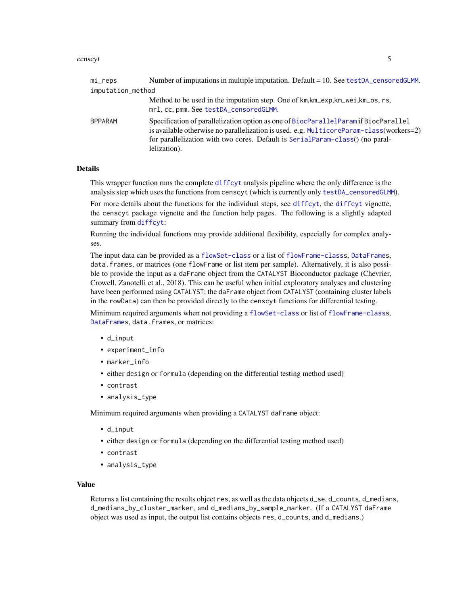#### <span id="page-4-0"></span>censcyt 5

| mi_reps           | Number of imputations in multiple imputation. Default = 10. See testDA_censoredGLMM.                                                                                                                                                                                            |  |
|-------------------|---------------------------------------------------------------------------------------------------------------------------------------------------------------------------------------------------------------------------------------------------------------------------------|--|
| imputation_method |                                                                                                                                                                                                                                                                                 |  |
|                   | Method to be used in the imputation step. One of km, km_exp, km_wei, km_os, rs,<br>mrl, cc, pmm. See testDA_censoredGLMM.                                                                                                                                                       |  |
| BPPARAM           | Specification of parallelization option as one of BiocParallelParam if BiocParallel<br>is available otherwise no parallelization is used. e.g. MulticoreParam-class(workers=2)<br>for parallelization with two cores. Default is SerialParam-class() (no paral-<br>lelization). |  |

# Details

This wrapper function runs the complete [diffcyt](#page-0-0) analysis pipeline where the only difference is the analysis step which uses the functions from censcyt (which is currently only [testDA\\_censoredGLMM](#page-14-1)).

For more details about the functions for the individual steps, see [diffcyt](#page-0-0), the diffcyt vignette, the censcyt package vignette and the function help pages. The following is a slightly adapted summary from [diffcyt](#page-0-0):

Running the individual functions may provide additional flexibility, especially for complex analyses.

The input data can be provided as a [flowSet-class](#page-0-0) or a list of [flowFrame-classs](#page-0-0), [DataFrames](#page-0-0), data.frames, or matrices (one flowFrame or list item per sample). Alternatively, it is also possible to provide the input as a daFrame object from the CATALYST Bioconductor package (Chevrier, Crowell, Zanotelli et al., 2018). This can be useful when initial exploratory analyses and clustering have been performed using CATALYST; the daFrame object from CATALYST (containing cluster labels in the rowData) can then be provided directly to the censcyt functions for differential testing.

Minimum required arguments when not providing a [flowSet-class](#page-0-0) or list of [flowFrame-classs](#page-0-0), [DataFrames](#page-0-0), data.frames, or matrices:

- d\_input
- experiment\_info
- marker\_info
- either design or formula (depending on the differential testing method used)
- contrast
- analysis\_type

Minimum required arguments when providing a CATALYST daFrame object:

- d\_input
- either design or formula (depending on the differential testing method used)
- contrast
- analysis\_type

# Value

Returns a list containing the results object res, as well as the data objects d\_se, d\_counts, d\_medians, d\_medians\_by\_cluster\_marker, and d\_medians\_by\_sample\_marker. (If a CATALYST daFrame object was used as input, the output list contains objects res, d\_counts, and d\_medians.)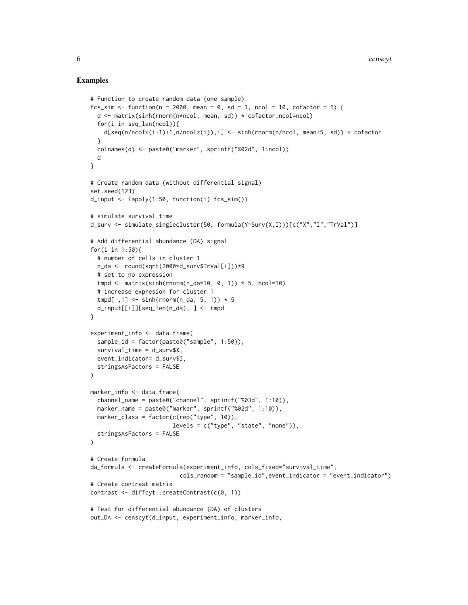# Examples

```
# Function to create random data (one sample)
fcs_sim <- function(n = 2000, mean = 0, sd = 1, ncol = 10, cofactor = 5) {
  d <- matrix(sinh(rnorm(n*ncol, mean, sd)) * cofactor,ncol=ncol)
  for(i in seq_len(ncol)){
    d[seq(n/ncol*(i-1)+1,n/ncol*(i)),i] <- sinh(rnorm(n/ncol, mean+5, sd)) * cofactor
  }
  colnames(d) <- paste0("marker", sprintf("%02d", 1:ncol))
  d
}
# Create random data (without differential signal)
set.seed(123)
d_iinput <- lapply(1:50, function(i) fcs_s = f(m)# simulate survival time
d_surv <- simulate_singlecluster(50, formula(Y~Surv(X,I)))[c("X","I","TrVal")]
# Add differential abundance (DA) signal
for(i in 1:50){
  # number of cells in cluster 1
  n_da <- round(sqrt(2000*d_surv$TrVal[i]))*9
  # set to no expression
  tmpd \leq matrix(sinh(rnorm(n_da*10, 0, 1)) * 5, ncol=10)
  # increase expresion for cluster 1
  tmpd[ ,1] <- sinh(rnorm(n_da, 5, 1)) * 5
  d_input[[i]][seq_len(n_da), ] <- tmpd
}
experiment_info <- data.frame(
  sample_id = factor(paste0("sample", 1:50)),
  survival_time = d_surv$X,
  event_indicator= d_surv$I,
  stringsAsFactors = FALSE
)
marker_info <- data.frame(
  channel_name = paste0("channel", sprintf("%03d", 1:10)),
  marker_name = paste0("marker", sprintf("%02d", 1:10)),
  marker_class = factor(c(rep("type", 10)),levels = c("type", "state", "none")),
  stringsAsFactors = FALSE
\mathcal{L}# Create formula
da_formula <- createFormula(experiment_info, cols_fixed="survival_time",
                          cols_random = "sample_id",event_indicator = "event_indicator")
# Create contrast matrix
contrast <- diffcyt::createContrast(c(0, 1))
# Test for differential abundance (DA) of clusters
out_DA <- censcyt(d_input, experiment_info, marker_info,
```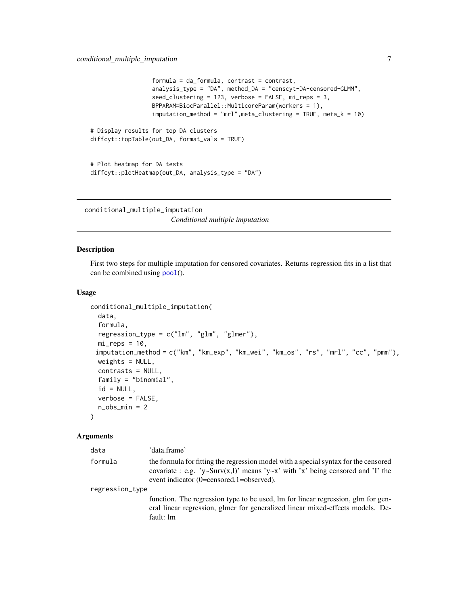```
formula = da_formula, contrast = contrast,
                  analysis_type = "DA", method_DA = "censcyt-DA-censored-GLMM",
                  seed_clustering = 123, verbose = FALSE, mi_reps = 3,
                  BPPARAM=BiocParallel::MulticoreParam(workers = 1),
                  imputation_method = "mrl", meta_clustering = TRUE, meta_k = 10)# Display results for top DA clusters
diffcyt::topTable(out_DA, format_vals = TRUE)
# Plot heatmap for DA tests
```

```
diffcyt::plotHeatmap(out_DA, analysis_type = "DA")
```
conditional\_multiple\_imputation

*Conditional multiple imputation*

# Description

First two steps for multiple imputation for censored covariates. Returns regression fits in a list that can be combined using [pool](#page-0-0)().

# Usage

```
conditional_multiple_imputation(
  data,
  formula,
  regression_type = c("lm", "glm", "glmer"),mi_{reps} = 10,
 imputation_method = c("km", "km_exp", "km_wei", "km_os", "rs", "mrl", "cc", "pmm"),
 weights = NULL,
  contrasts = NULL,
  family = "binomial",
  id = NULL,verbose = FALSE,
  n_obs\_min = 2)
```

| data            | 'data.frame'                                                                                                                                                                                                      |  |
|-----------------|-------------------------------------------------------------------------------------------------------------------------------------------------------------------------------------------------------------------|--|
| formula         | the formula for fitting the regression model with a special syntax for the censored<br>covariate : e.g. 'y~Surv(x,I)' means 'y~x' with 'x' being censored and 'I' the<br>event indicator (0=censored,1=observed). |  |
| regression_type |                                                                                                                                                                                                                   |  |
|                 | function. The regression type to be used, lm for linear regression, glm for gen-<br>eral linear regression, glmer for generalized linear mixed-effects models. De-<br>fault: lm                                   |  |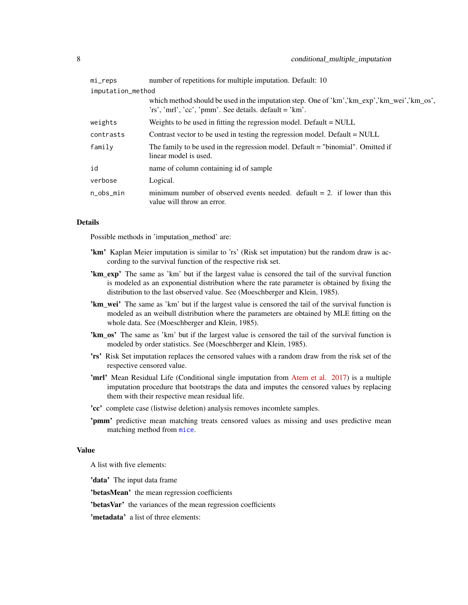<span id="page-7-0"></span>

| mi_reps           | number of repetitions for multiple imputation. Default: 10                                                                                           |  |
|-------------------|------------------------------------------------------------------------------------------------------------------------------------------------------|--|
| imputation_method |                                                                                                                                                      |  |
|                   | which method should be used in the imputation step. One of 'km','km_exp','km_wei','km_os',<br>'rs', 'mrl', 'cc', 'pmm'. See details. default = 'km'. |  |
| weights           | Weights to be used in fitting the regression model. Default $=$ NULL                                                                                 |  |
| contrasts         | Contrast vector to be used in testing the regression model. Default = NULL                                                                           |  |
| family            | The family to be used in the regression model. Default = "binomial". Omitted if<br>linear model is used.                                             |  |
| id                | name of column containing id of sample                                                                                                               |  |
| verbose           | Logical.                                                                                                                                             |  |
| n_obs_min         | minimum number of observed events needed. default $= 2$ , if lower than this<br>value will throw an error.                                           |  |

# Details

Possible methods in 'imputation\_method' are:

- 'km' Kaplan Meier imputation is similar to 'rs' (Risk set imputation) but the random draw is according to the survival function of the respective risk set.
- 'km\_exp' The same as 'km' but if the largest value is censored the tail of the survival function is modeled as an exponential distribution where the rate parameter is obtained by fixing the distribution to the last observed value. See (Moeschberger and Klein, 1985).
- 'km\_wei' The same as 'km' but if the largest value is censored the tail of the survival function is modeled as an weibull distribution where the parameters are obtained by MLE fitting on the whole data. See (Moeschberger and Klein, 1985).
- 'km\_os' The same as 'km' but if the largest value is censored the tail of the survival function is modeled by order statistics. See (Moeschberger and Klein, 1985).
- 'rs' Risk Set imputation replaces the censored values with a random draw from the risk set of the respective censored value.
- 'mrl' Mean Residual Life (Conditional single imputation from [Atem et al. 2017\)](https://www.researchgate.net/publication/319246304_Improved_conditional_imputation_for_linear_regression_with_a_randomly_censored_predictor) is a multiple imputation procedure that bootstraps the data and imputes the censored values by replacing them with their respective mean residual life.
- 'cc' complete case (listwise deletion) analysis removes incomlete samples.
- 'pmm' predictive mean matching treats censored values as missing and uses predictive mean matching method from [mice](#page-0-0).

# Value

A list with five elements:

'data' The input data frame

'betasMean' the mean regression coefficients

'betasVar' the variances of the mean regression coefficients

'metadata' a list of three elements: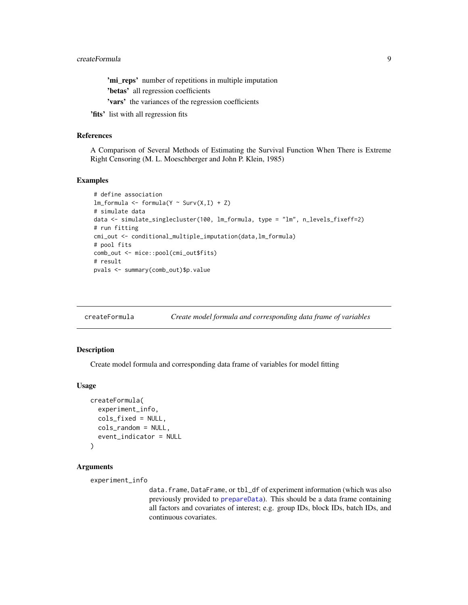<span id="page-8-0"></span>'mi\_reps' number of repetitions in multiple imputation 'betas' all regression coefficients 'vars' the variances of the regression coefficients

'fits' list with all regression fits

# References

A Comparison of Several Methods of Estimating the Survival Function When There is Extreme Right Censoring (M. L. Moeschberger and John P. Klein, 1985)

# Examples

```
# define association
lm_formula <- formula(Y ~ Surv(X,I) + Z)
# simulate data
data <- simulate_singlecluster(100, lm_formula, type = "lm", n_levels_fixeff=2)
# run fitting
cmi_out <- conditional_multiple_imputation(data,lm_formula)
# pool fits
comb_out <- mice::pool(cmi_out$fits)
# result
pvals <- summary(comb_out)$p.value
```
<span id="page-8-1"></span>createFormula *Create model formula and corresponding data frame of variables*

#### Description

Create model formula and corresponding data frame of variables for model fitting

#### Usage

```
createFormula(
  experiment_info,
  cols_fixed = NULL,
  cols_random = NULL,
  event_indicator = NULL
)
```
# Arguments

```
experiment_info
```
data.frame, DataFrame, or tbl\_df of experiment information (which was also previously provided to [prepareData](#page-0-0)). This should be a data frame containing all factors and covariates of interest; e.g. group IDs, block IDs, batch IDs, and continuous covariates.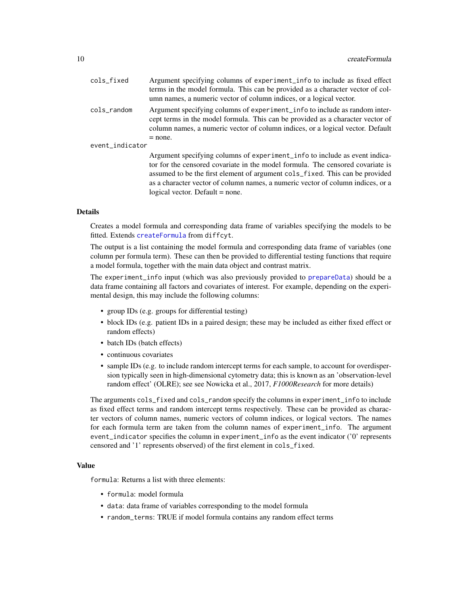<span id="page-9-0"></span>

| cols_fixed      | Argument specifying columns of experiment_info to include as fixed effect<br>terms in the model formula. This can be provided as a character vector of col-<br>umn names, a numeric vector of column indices, or a logical vector.                                                                                                                                   |
|-----------------|----------------------------------------------------------------------------------------------------------------------------------------------------------------------------------------------------------------------------------------------------------------------------------------------------------------------------------------------------------------------|
| cols_random     | Argument specifying columns of experiment_info to include as random inter-<br>cept terms in the model formula. This can be provided as a character vector of<br>column names, a numeric vector of column indices, or a logical vector. Default<br>$=$ none.                                                                                                          |
| event_indicator |                                                                                                                                                                                                                                                                                                                                                                      |
|                 | Argument specifying columns of experiment_info to include as event indica-<br>tor for the censored covariate in the model formula. The censored covariate is<br>assumed to be the first element of argument cols_fixed. This can be provided<br>as a character vector of column names, a numeric vector of column indices, or a<br>logical vector. Default $=$ none. |

# Details

Creates a model formula and corresponding data frame of variables specifying the models to be fitted. Extends [createFormula](#page-8-1) from diffcyt.

The output is a list containing the model formula and corresponding data frame of variables (one column per formula term). These can then be provided to differential testing functions that require a model formula, together with the main data object and contrast matrix.

The experiment\_info input (which was also previously provided to [prepareData](#page-0-0)) should be a data frame containing all factors and covariates of interest. For example, depending on the experimental design, this may include the following columns:

- group IDs (e.g. groups for differential testing)
- block IDs (e.g. patient IDs in a paired design; these may be included as either fixed effect or random effects)
- batch IDs (batch effects)
- continuous covariates
- sample IDs (e.g. to include random intercept terms for each sample, to account for overdispersion typically seen in high-dimensional cytometry data; this is known as an 'observation-level random effect' (OLRE); see see Nowicka et al., 2017, *F1000Research* for more details)

The arguments cols\_fixed and cols\_random specify the columns in experiment\_info to include as fixed effect terms and random intercept terms respectively. These can be provided as character vectors of column names, numeric vectors of column indices, or logical vectors. The names for each formula term are taken from the column names of experiment\_info. The argument event\_indicator specifies the column in experiment\_info as the event indicator ('0' represents censored and '1' represents observed) of the first element in cols\_fixed.

# Value

formula: Returns a list with three elements:

- formula: model formula
- data: data frame of variables corresponding to the model formula
- random\_terms: TRUE if model formula contains any random effect terms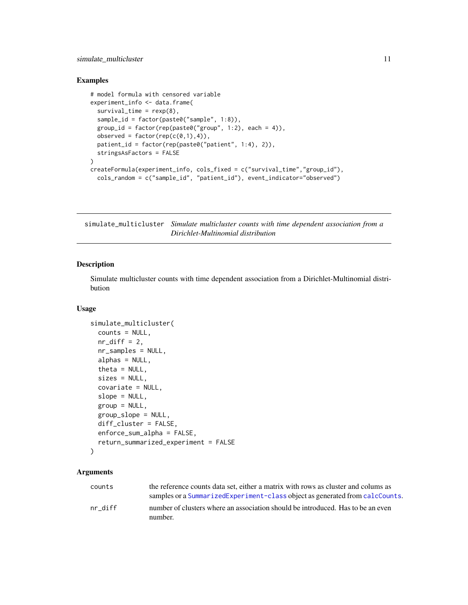# <span id="page-10-0"></span>simulate\_multicluster 11

# Examples

```
# model formula with censored variable
experiment_info <- data.frame(
 survival_time = rexp(8),
 sample_id = factor(paste0("sample", 1:8)),
 group_id = factor(rep(paste0("group", 1:2), each = 4)),observed = factor(rep(c(\emptyset,1),4)),
 patient_id = factor(rep(paste0("patient", 1:4), 2)),
 stringsAsFactors = FALSE
\lambdacreateFormula(experiment_info, cols_fixed = c("survival_time","group_id"),
 cols_random = c("sample_id", "patient_id"), event_indicator="observed")
```
simulate\_multicluster *Simulate multicluster counts with time dependent association from a Dirichlet-Multinomial distribution*

# Description

Simulate multicluster counts with time dependent association from a Dirichlet-Multinomial distribution

#### Usage

```
simulate_multicluster(
  counts = NULL,nr\_diff = 2,
  nr_samples = NULL,
  alphas = NULL,
  theta = NULL,
  sizes = NULL,
  covariate = NULL,
  slope = NULL,
  group = NULL,group_slope = NULL,
  diff_cluster = FALSE,
  enforce_sum_alpha = FALSE,
  return_summarized_experiment = FALSE
)
```

| counts  | the reference counts data set, either a matrix with rows as cluster and colums as<br>samples or a Summarized Experiment-class object as generated from calcCounts. |
|---------|--------------------------------------------------------------------------------------------------------------------------------------------------------------------|
| nr diff | number of clusters where an association should be introduced. Has to be an even<br>number.                                                                         |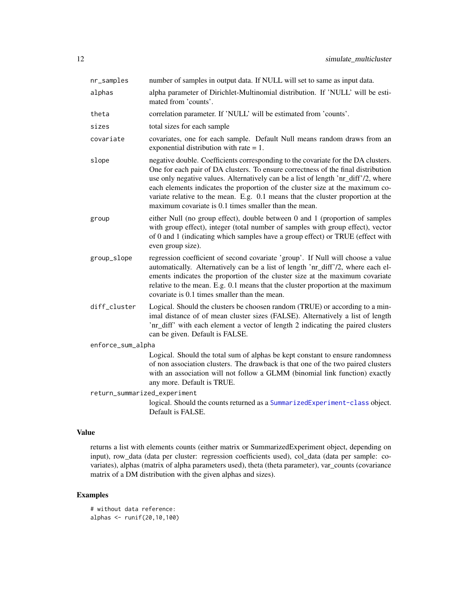| nr_samples                   | number of samples in output data. If NULL will set to same as input data.                                                                                                                                                                                                                                                                                                                                                                                                                 |  |
|------------------------------|-------------------------------------------------------------------------------------------------------------------------------------------------------------------------------------------------------------------------------------------------------------------------------------------------------------------------------------------------------------------------------------------------------------------------------------------------------------------------------------------|--|
| alphas                       | alpha parameter of Dirichlet-Multinomial distribution. If 'NULL' will be esti-<br>mated from 'counts'.                                                                                                                                                                                                                                                                                                                                                                                    |  |
| theta                        | correlation parameter. If 'NULL' will be estimated from 'counts'.                                                                                                                                                                                                                                                                                                                                                                                                                         |  |
| sizes                        | total sizes for each sample                                                                                                                                                                                                                                                                                                                                                                                                                                                               |  |
| covariate                    | covariates, one for each sample. Default Null means random draws from an<br>exponential distribution with rate $= 1$ .                                                                                                                                                                                                                                                                                                                                                                    |  |
| slope                        | negative double. Coefficients corresponding to the covariate for the DA clusters.<br>One for each pair of DA clusters. To ensure correctness of the final distribution<br>use only negative values. Alternatively can be a list of length 'nr_diff'/2, where<br>each elements indicates the proportion of the cluster size at the maximum co-<br>variate relative to the mean. E.g. 0.1 means that the cluster proportion at the<br>maximum covariate is 0.1 times smaller than the mean. |  |
| group                        | either Null (no group effect), double between 0 and 1 (proportion of samples<br>with group effect), integer (total number of samples with group effect), vector<br>of 0 and 1 (indicating which samples have a group effect) or TRUE (effect with<br>even group size).                                                                                                                                                                                                                    |  |
| group_slope                  | regression coefficient of second covariate 'group'. If Null will choose a value<br>automatically. Alternatively can be a list of length 'nr_diff'/2, where each el-<br>ements indicates the proportion of the cluster size at the maximum covariate<br>relative to the mean. E.g. 0.1 means that the cluster proportion at the maximum<br>covariate is 0.1 times smaller than the mean.                                                                                                   |  |
| diff_cluster                 | Logical. Should the clusters be choosen random (TRUE) or according to a min-<br>imal distance of of mean cluster sizes (FALSE). Alternatively a list of length<br>'nr_diff' with each element a vector of length 2 indicating the paired clusters<br>can be given. Default is FALSE.                                                                                                                                                                                                      |  |
| enforce_sum_alpha            |                                                                                                                                                                                                                                                                                                                                                                                                                                                                                           |  |
|                              | Logical. Should the total sum of alphas be kept constant to ensure randomness<br>of non association clusters. The drawback is that one of the two paired clusters<br>with an association will not follow a GLMM (binomial link function) exactly<br>any more. Default is TRUE.                                                                                                                                                                                                            |  |
| return_summarized_experiment |                                                                                                                                                                                                                                                                                                                                                                                                                                                                                           |  |
|                              | logical. Should the counts returned as a SummarizedExperiment-class object.<br>Default is FALSE.                                                                                                                                                                                                                                                                                                                                                                                          |  |

# Value

returns a list with elements counts (either matrix or SummarizedExperiment object, depending on input), row\_data (data per cluster: regression coefficients used), col\_data (data per sample: covariates), alphas (matrix of alpha parameters used), theta (theta parameter), var\_counts (covariance matrix of a DM distribution with the given alphas and sizes).

# Examples

```
# without data reference:
alphas <- runif(20,10,100)
```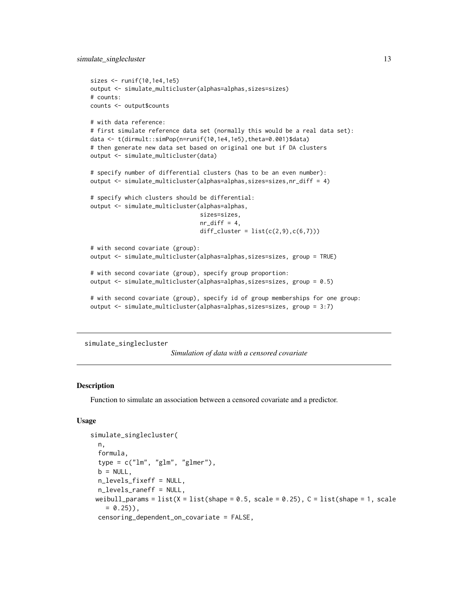```
sizes <- runif(10,1e4,1e5)
output <- simulate_multicluster(alphas=alphas,sizes=sizes)
# counts:
counts <- output$counts
# with data reference:
# first simulate reference data set (normally this would be a real data set):
data <- t(dirmult::simPop(n=runif(10,1e4,1e5),theta=0.001)$data)
# then generate new data set based on original one but if DA clusters
output <- simulate_multicluster(data)
# specify number of differential clusters (has to be an even number):
output <- simulate_multicluster(alphas=alphas,sizes=sizes,nr_diff = 4)
# specify which clusters should be differential:
output <- simulate_multicluster(alphas=alphas,
                                sizes=sizes,
                                nr\_diff = 4,
                                diff_{\text{cluster}} = list(c(2, 9), c(6, 7)))# with second covariate (group):
output <- simulate_multicluster(alphas=alphas,sizes=sizes, group = TRUE)
# with second covariate (group), specify group proportion:
output <- simulate_multicluster(alphas=alphas,sizes=sizes, group = 0.5)
# with second covariate (group), specify id of group memberships for one group:
output <- simulate_multicluster(alphas=alphas,sizes=sizes, group = 3:7)
```

```
simulate_singlecluster
```
*Simulation of data with a censored covariate*

# **Description**

Function to simulate an association between a censored covariate and a predictor.

### Usage

```
simulate_singlecluster(
  n,
  formula,
  type = c("lm", "glm", "glmer"),b = NULL,
 n_levels_fixeff = NULL,
 n_levels_raneff = NULL,
 weibull_params = list(X = list(Shape = 0.5, scale = 0.25), C = list(Shape = 1, scale= 0.25)),
  censoring_dependent_on_covariate = FALSE,
```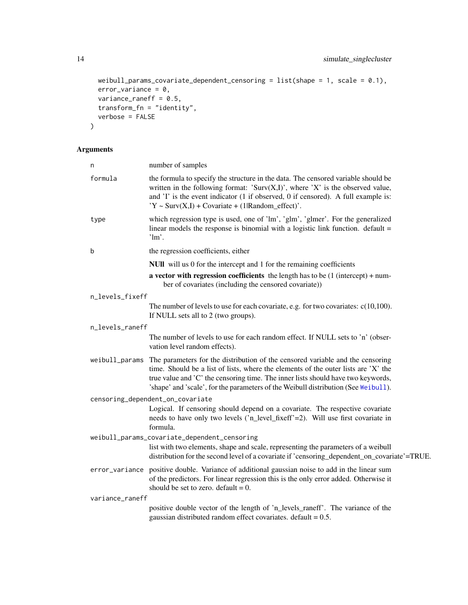```
weibull_params_covariate_dependent_censoring = list(shape = 1, scale = 0.1),
 error_variance = 0,
 variance_raneff = 0.5,
 transform_fn = "identity",
 verbose = FALSE
\mathcal{L}
```

| n               | number of samples                                                                                                                                                                                                                                                                                                                              |
|-----------------|------------------------------------------------------------------------------------------------------------------------------------------------------------------------------------------------------------------------------------------------------------------------------------------------------------------------------------------------|
| formula         | the formula to specify the structure in the data. The censored variable should be<br>written in the following format: 'Surv $(X,I)$ ', where 'X' is the observed value,<br>and 'I' is the event indicator (1 if observed, 0 if censored). A full example is:<br>$Y \sim$ Surv(X,I) + Covariate + (1 Random_effect)'.                           |
| type            | which regression type is used, one of 'lm', 'glm', 'glmer'. For the generalized<br>linear models the response is binomial with a logistic link function. $default =$<br>$\lim$ .                                                                                                                                                               |
| b               | the regression coefficients, either                                                                                                                                                                                                                                                                                                            |
|                 | NUII will us 0 for the intercept and 1 for the remaining coefficients                                                                                                                                                                                                                                                                          |
|                 | a vector with regression coefficients the length has to be $(1 \text{ (intercept)} + \text{num} -$<br>ber of covariates (including the censored covariate))                                                                                                                                                                                    |
| n_levels_fixeff |                                                                                                                                                                                                                                                                                                                                                |
|                 | The number of levels to use for each covariate, e.g. for two covariates: $c(10,100)$ .<br>If NULL sets all to 2 (two groups).                                                                                                                                                                                                                  |
| n_levels_raneff |                                                                                                                                                                                                                                                                                                                                                |
|                 | The number of levels to use for each random effect. If NULL sets to 'n' (obser-<br>vation level random effects).                                                                                                                                                                                                                               |
| weibull_params  | The parameters for the distribution of the censored variable and the censoring<br>time. Should be a list of lists, where the elements of the outer lists are 'X' the<br>true value and 'C' the censoring time. The inner lists should have two keywords,<br>'shape' and 'scale', for the parameters of the Weibull distribution (See Weibull). |
|                 | censoring_dependent_on_covariate                                                                                                                                                                                                                                                                                                               |
|                 | Logical. If censoring should depend on a covariate. The respective covariate<br>needs to have only two levels ('n_level_fixeff'=2). Will use first covariate in<br>formula.                                                                                                                                                                    |
|                 | weibull_params_covariate_dependent_censoring<br>list with two elements, shape and scale, representing the parameters of a weibull<br>distribution for the second level of a covariate if 'censoring_dependent_on_covariate'=TRUE.                                                                                                              |
|                 | error_variance positive double. Variance of additional gaussian noise to add in the linear sum<br>of the predictors. For linear regression this is the only error added. Otherwise it<br>should be set to zero. default = $0$ .                                                                                                                |
| variance_raneff |                                                                                                                                                                                                                                                                                                                                                |
|                 | positive double vector of the length of 'n_levels_raneff'. The variance of the<br>gaussian distributed random effect covariates. default = $0.5$ .                                                                                                                                                                                             |

<span id="page-13-0"></span>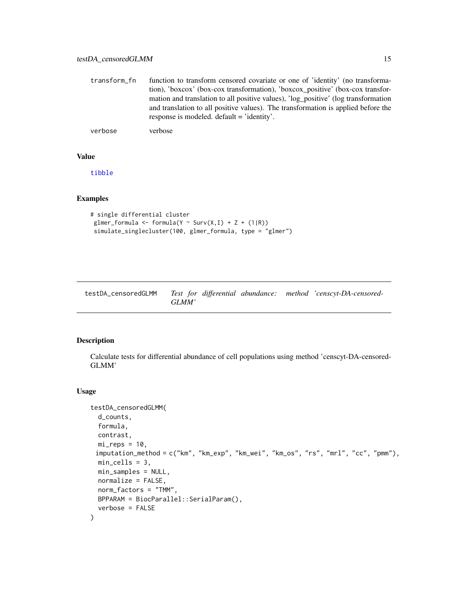<span id="page-14-0"></span>

| transform fn | function to transform censored covariate or one of 'identity' (no transforma-     |
|--------------|-----------------------------------------------------------------------------------|
|              | tion), 'boxcox' (box-cox transformation), 'boxcox_positive' (box-cox transfor-    |
|              | mation and translation to all positive values), log positive' (log transformation |
|              | and translation to all positive values). The transformation is applied before the |
|              | response is modeled. default = 'identity'.                                        |

verbose verbose

### Value

[tibble](#page-0-0)

# Examples

```
# single differential cluster
glmer_formula <- formula(Y ~ Surv(X, I) + Z + (1|R))
simulate_singlecluster(100, glmer_formula, type = "glmer")
```
<span id="page-14-1"></span>

| testDA censoredGLMM |       | Test for differential abundance: method 'censcyt-DA-censored- |
|---------------------|-------|---------------------------------------------------------------|
|                     | GLMM' |                                                               |

# Description

Calculate tests for differential abundance of cell populations using method 'censcyt-DA-censored-GLMM'

# Usage

```
testDA_censoredGLMM(
 d_counts,
 formula,
 contrast,
 mi_{reps} = 10,
 imputation_method = c("km", "km_exp", "km_wei", "km_os", "rs", "mrl", "cc", "pmm"),
 min_cells = 3,
 min_samples = NULL,
 normalize = FALSE,
 norm_factors = "TMM",
 BPPARAM = BiocParallel::SerialParam(),
  verbose = FALSE
\mathcal{E}
```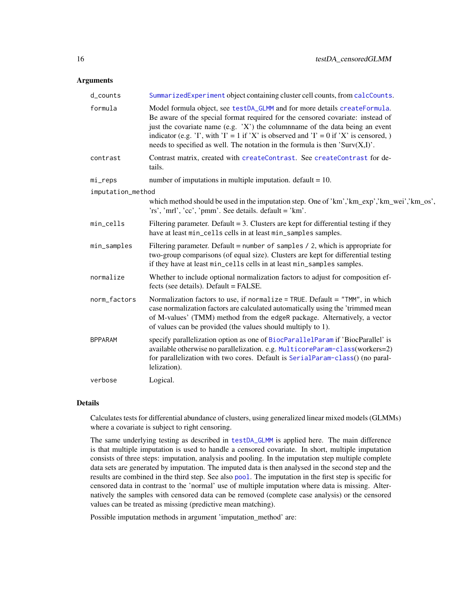### <span id="page-15-0"></span>**Arguments**

| d_counts          | SummarizedExperiment object containing cluster cell counts, from calcCounts.                                                                                                                                                                                                                                                                                                                                              |
|-------------------|---------------------------------------------------------------------------------------------------------------------------------------------------------------------------------------------------------------------------------------------------------------------------------------------------------------------------------------------------------------------------------------------------------------------------|
| formula           | Model formula object, see testDA_GLMM and for more details createFormula.<br>Be aware of the special format required for the censored covariate: instead of<br>just the covariate name (e.g. 'X') the columnname of the data being an event<br>indicator (e.g. 'I', with 'I' = 1 if 'X' is observed and 'I' = 0 if 'X' is censored, )<br>needs to specified as well. The notation in the formula is then 'Surv $(X,I)$ '. |
| contrast          | Contrast matrix, created with createContrast. See createContrast for de-<br>tails.                                                                                                                                                                                                                                                                                                                                        |
| mi_reps           | number of imputations in multiple imputation. default $= 10$ .                                                                                                                                                                                                                                                                                                                                                            |
| imputation_method |                                                                                                                                                                                                                                                                                                                                                                                                                           |
|                   | which method should be used in the imputation step. One of 'km', 'km_exp','km_wei','km_os',<br>'rs', 'mrl', 'cc', 'pmm'. See details. default = 'km'.                                                                                                                                                                                                                                                                     |
| min_cells         | Filtering parameter. Default $= 3$ . Clusters are kept for differential testing if they<br>have at least min_cells cells in at least min_samples samples.                                                                                                                                                                                                                                                                 |
| min_samples       | Filtering parameter. Default = number of samples $/$ 2, which is appropriate for<br>two-group comparisons (of equal size). Clusters are kept for differential testing<br>if they have at least min_cells cells in at least min_samples samples.                                                                                                                                                                           |
| normalize         | Whether to include optional normalization factors to adjust for composition ef-<br>fects (see details). Default = FALSE.                                                                                                                                                                                                                                                                                                  |
| norm_factors      | Normalization factors to use, if normalize = TRUE. Default = "TMM", in which<br>case normalization factors are calculated automatically using the 'trimmed mean<br>of M-values' (TMM) method from the edgeR package. Alternatively, a vector<br>of values can be provided (the values should multiply to 1).                                                                                                              |
| <b>BPPARAM</b>    | specify parallelization option as one of BiocParallelParam if 'BiocParallel' is<br>available otherwise no parallelization. e.g. MulticoreParam-class(workers=2)<br>for parallelization with two cores. Default is SerialParam-class() (no paral-<br>lelization).                                                                                                                                                          |
| verbose           | Logical.                                                                                                                                                                                                                                                                                                                                                                                                                  |

# Details

Calculates tests for differential abundance of clusters, using generalized linear mixed models (GLMMs) where a covariate is subject to right censoring.

The same underlying testing as described in [testDA\\_GLMM](#page-0-0) is applied here. The main difference is that multiple imputation is used to handle a censored covariate. In short, multiple imputation consists of three steps: imputation, analysis and pooling. In the imputation step multiple complete data sets are generated by imputation. The imputed data is then analysed in the second step and the results are combined in the third step. See also [pool](#page-0-0). The imputation in the first step is specific for censored data in contrast to the 'normal' use of multiple imputation where data is missing. Alternatively the samples with censored data can be removed (complete case analysis) or the censored values can be treated as missing (predictive mean matching).

Possible imputation methods in argument 'imputation\_method' are: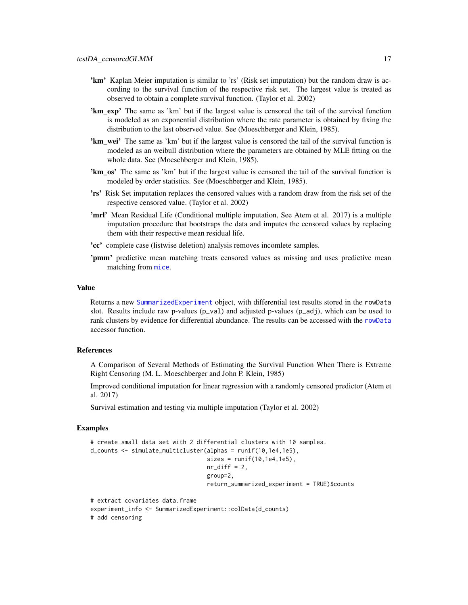- <span id="page-16-0"></span>'km' Kaplan Meier imputation is similar to 'rs' (Risk set imputation) but the random draw is according to the survival function of the respective risk set. The largest value is treated as observed to obtain a complete survival function. (Taylor et al. 2002)
- **'km** exp' The same as 'km' but if the largest value is censored the tail of the survival function is modeled as an exponential distribution where the rate parameter is obtained by fixing the distribution to the last observed value. See (Moeschberger and Klein, 1985).
- **'km** wei' The same as 'km' but if the largest value is censored the tail of the survival function is modeled as an weibull distribution where the parameters are obtained by MLE fitting on the whole data. See (Moeschberger and Klein, 1985).
- 'km\_os' The same as 'km' but if the largest value is censored the tail of the survival function is modeled by order statistics. See (Moeschberger and Klein, 1985).
- 'rs' Risk Set imputation replaces the censored values with a random draw from the risk set of the respective censored value. (Taylor et al. 2002)
- 'mrl' Mean Residual Life (Conditional multiple imputation, See Atem et al. 2017) is a multiple imputation procedure that bootstraps the data and imputes the censored values by replacing them with their respective mean residual life.
- 'cc' complete case (listwise deletion) analysis removes incomlete samples.
- 'pmm' predictive mean matching treats censored values as missing and uses predictive mean matching from [mice](#page-0-0).

#### Value

Returns a new [SummarizedExperiment](#page-0-0) object, with differential test results stored in the rowData slot. Results include raw p-values  $(p_1 \vee a)$  and adjusted p-values  $(p_2 \vee a)$ , which can be used to rank clusters by evidence for differential abundance. The results can be accessed with the [rowData](#page-0-0) accessor function.

#### References

A Comparison of Several Methods of Estimating the Survival Function When There is Extreme Right Censoring (M. L. Moeschberger and John P. Klein, 1985)

Improved conditional imputation for linear regression with a randomly censored predictor (Atem et al. 2017)

Survival estimation and testing via multiple imputation (Taylor et al. 2002)

### Examples

```
# create small data set with 2 differential clusters with 10 samples.
d_counts <- simulate_multicluster(alphas = runif(10,1e4,1e5),
                                  sizes = runif(10,1e4,1e5),
                                  nr\_diff = 2,
                                  group=2,
                                  return_summarized_experiment = TRUE)$counts
# extract covariates data.frame
experiment_info <- SummarizedExperiment::colData(d_counts)
```
# add censoring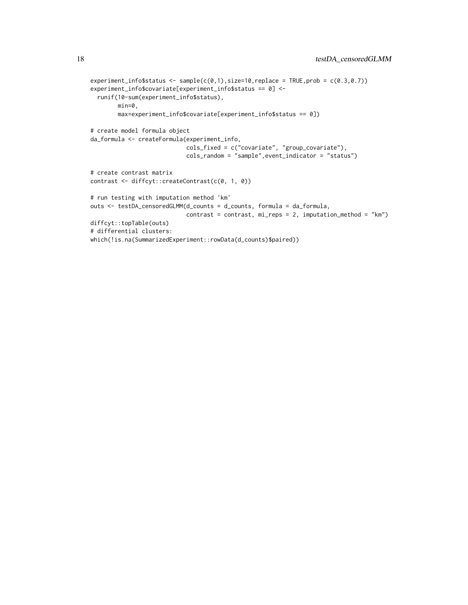```
experiment_info$status <- sample(c(0,1),size=10,replace = TRUE,prob = c(0.3, 0.7))
experiment_info$covariate[experiment_info$status == 0] <-
  runif(10-sum(experiment_info$status),
       min=0,
       max=experiment_info$covariate[experiment_info$status == 0])
# create model formula object
da_formula <- createFormula(experiment_info,
                            cols_fixed = c("covariate", "group_covariate"),
                            cols_random = "sample",event_indicator = "status")
# create contrast matrix
contrast <- diffcyt::createContrast(c(0, 1, 0))
# run testing with imputation method 'km'
outs <- testDA_censoredGLMM(d_counts = d_counts, formula = da_formula,
                            contrast = contrast, mi_reps = 2, imputation_method = "km")
diffcyt::topTable(outs)
# differential clusters:
which(!is.na(SummarizedExperiment::rowData(d_counts)$paired))
```